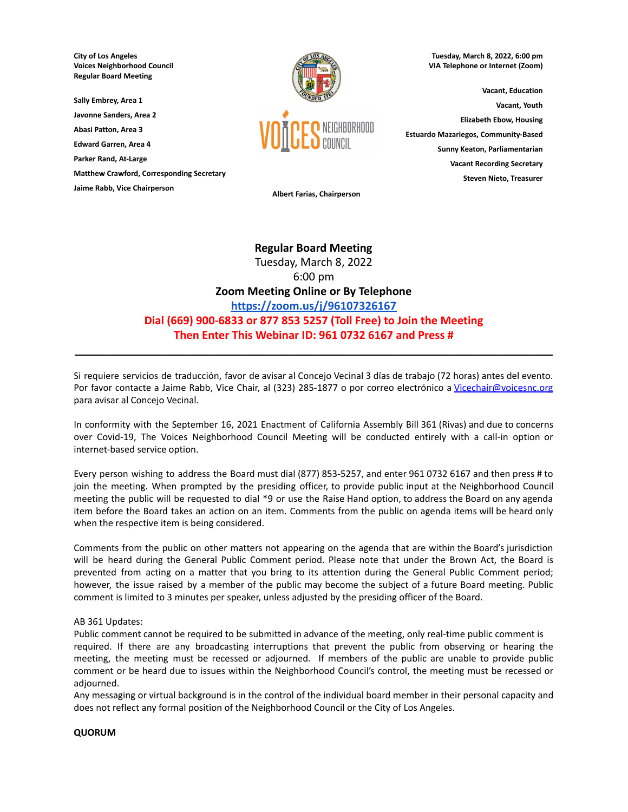**City of Los Angeles Voices Neighborhood Council Regular Board Meeting**

**Sally Embrey, Area 1 Javonne Sanders, Area 2**

**Abasi Patton, Area 3**

**Edward Garren, Area 4**

**Parker Rand, At-Large**

**Matthew Crawford, Corresponding Secretary**

**Jaime Rabb, Vice Chairperson**



**Tuesday, March 8, 2022, 6:00 pm VIA Telephone or Internet (Zoom)**

**Vacant, Education Vacant, Youth Elizabeth Ebow, Housing Estuardo Mazariegos, Community-Based Sunny Keaton, Parliamentarian Vacant Recording Secretary Steven Nieto, Treasurer**

**Albert Farias, Chairperson**

# **Regular Board Meeting** Tuesday, March 8, 2022 6:00 pm **Zoom Meeting Online or By Telephone <https://zoom.us/j/96107326167> Dial (669) 900-6833 or 877 853 5257 (Toll Free) to Join the Meeting Then Enter This Webinar ID: 961 0732 6167 and Press #**

Si requiere servicios de traducción, favor de avisar al Concejo Vecinal 3 días de trabajo (72 horas) antes del evento. Por favor contacte a Jaime Rabb, Vice Chair, al (323) 285-1877 o por correo electrónico a [Vicechair@voicesnc.org](mailto:VNCCorrSec18@gmail.com) para avisar al Concejo Vecinal.

**\_\_\_\_\_\_\_\_\_\_\_\_\_\_\_\_\_\_\_\_\_\_\_\_\_\_\_\_\_\_\_\_\_\_\_\_\_\_\_\_\_\_\_\_\_\_\_\_\_\_\_\_\_\_\_\_\_\_\_\_\_\_\_\_\_\_\_\_\_\_\_\_\_\_\_\_\_\_**

In conformity with the September 16, 2021 Enactment of California Assembly Bill 361 (Rivas) and due to concerns over Covid-19, The Voices Neighborhood Council Meeting will be conducted entirely with a call-in option or internet-based service option.

Every person wishing to address the Board must dial (877) 853-5257, and enter 961 0732 6167 and then press # to join the meeting. When prompted by the presiding officer, to provide public input at the Neighborhood Council meeting the public will be requested to dial \*9 or use the Raise Hand option, to address the Board on any agenda item before the Board takes an action on an item. Comments from the public on agenda items will be heard only when the respective item is being considered.

Comments from the public on other matters not appearing on the agenda that are within the Board's jurisdiction will be heard during the General Public Comment period. Please note that under the Brown Act, the Board is prevented from acting on a matter that you bring to its attention during the General Public Comment period; however, the issue raised by a member of the public may become the subject of a future Board meeting. Public comment is limited to 3 minutes per speaker, unless adjusted by the presiding officer of the Board.

# AB 361 Updates:

Public comment cannot be required to be submitted in advance of the meeting, only real-time public comment is required. If there are any broadcasting interruptions that prevent the public from observing or hearing the meeting, the meeting must be recessed or adjourned. If members of the public are unable to provide public comment or be heard due to issues within the Neighborhood Council's control, the meeting must be recessed or adjourned.

Any messaging or virtual background is in the control of the individual board member in their personal capacity and does not reflect any formal position of the Neighborhood Council or the City of Los Angeles.

# **QUORUM**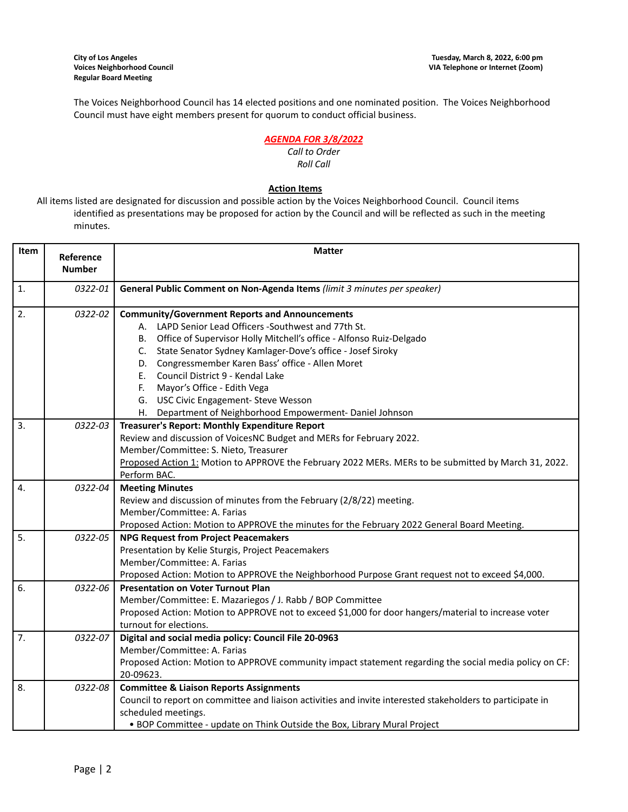The Voices Neighborhood Council has 14 elected positions and one nominated position. The Voices Neighborhood Council must have eight members present for quorum to conduct official business.

# *AGENDA FOR 3/8/2022*

#### *Call to Order Roll Call*

# **Action Items**

All items listed are designated for discussion and possible action by the Voices Neighborhood Council. Council items identified as presentations may be proposed for action by the Council and will be reflected as such in the meeting minutes.

| Item             | Reference<br><b>Number</b> | <b>Matter</b>                                                                                                                                                                                                                                                                                                                                                                                                                                                                                              |  |  |
|------------------|----------------------------|------------------------------------------------------------------------------------------------------------------------------------------------------------------------------------------------------------------------------------------------------------------------------------------------------------------------------------------------------------------------------------------------------------------------------------------------------------------------------------------------------------|--|--|
| $\mathbf{1}$ .   | 0322-01                    | General Public Comment on Non-Agenda Items (limit 3 minutes per speaker)                                                                                                                                                                                                                                                                                                                                                                                                                                   |  |  |
| 2.               | 0322-02                    | <b>Community/Government Reports and Announcements</b><br>A. LAPD Senior Lead Officers -Southwest and 77th St.<br>B. Office of Supervisor Holly Mitchell's office - Alfonso Ruiz-Delgado<br>State Senator Sydney Kamlager-Dove's office - Josef Siroky<br>C.<br>Congressmember Karen Bass' office - Allen Moret<br>D.<br>Council District 9 - Kendal Lake<br>E.,<br>Mayor's Office - Edith Vega<br>F.<br>G. USC Civic Engagement- Steve Wesson<br>H. Department of Neighborhood Empowerment- Daniel Johnson |  |  |
| $\overline{3}$ . | 0322-03                    | Treasurer's Report: Monthly Expenditure Report<br>Review and discussion of VoicesNC Budget and MERs for February 2022.<br>Member/Committee: S. Nieto, Treasurer<br>Proposed Action 1: Motion to APPROVE the February 2022 MERs. MERs to be submitted by March 31, 2022.<br>Perform BAC.                                                                                                                                                                                                                    |  |  |
| 4.               | 0322-04                    | <b>Meeting Minutes</b><br>Review and discussion of minutes from the February (2/8/22) meeting.<br>Member/Committee: A. Farias<br>Proposed Action: Motion to APPROVE the minutes for the February 2022 General Board Meeting.                                                                                                                                                                                                                                                                               |  |  |
| $\overline{5}$ . | 0322-05                    | <b>NPG Request from Project Peacemakers</b><br>Presentation by Kelie Sturgis, Project Peacemakers<br>Member/Committee: A. Farias<br>Proposed Action: Motion to APPROVE the Neighborhood Purpose Grant request not to exceed \$4,000.                                                                                                                                                                                                                                                                       |  |  |
| 6.               | 0322-06                    | <b>Presentation on Voter Turnout Plan</b><br>Member/Committee: E. Mazariegos / J. Rabb / BOP Committee<br>Proposed Action: Motion to APPROVE not to exceed \$1,000 for door hangers/material to increase voter<br>turnout for elections.                                                                                                                                                                                                                                                                   |  |  |
| $\overline{7}$ . | 0322-07                    | Digital and social media policy: Council File 20-0963<br>Member/Committee: A. Farias<br>Proposed Action: Motion to APPROVE community impact statement regarding the social media policy on CF:<br>20-09623.                                                                                                                                                                                                                                                                                                |  |  |
| 8.               | 0322-08                    | <b>Committee &amp; Liaison Reports Assignments</b><br>Council to report on committee and liaison activities and invite interested stakeholders to participate in<br>scheduled meetings.<br>• BOP Committee - update on Think Outside the Box, Library Mural Project                                                                                                                                                                                                                                        |  |  |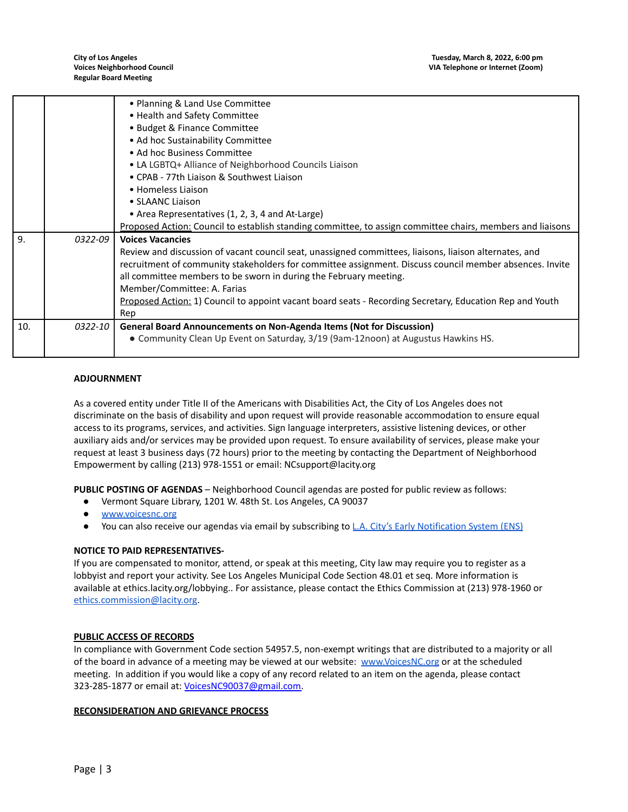|     |         | • Planning & Land Use Committee                                                                            |  |  |  |
|-----|---------|------------------------------------------------------------------------------------------------------------|--|--|--|
|     |         | • Health and Safety Committee                                                                              |  |  |  |
|     |         | • Budget & Finance Committee                                                                               |  |  |  |
|     |         | • Ad hoc Sustainability Committee                                                                          |  |  |  |
|     |         | • Ad hoc Business Committee                                                                                |  |  |  |
|     |         | • LA LGBTQ+ Alliance of Neighborhood Councils Liaison                                                      |  |  |  |
|     |         | • CPAB - 77th Liaison & Southwest Liaison                                                                  |  |  |  |
|     |         | • Homeless Liaison                                                                                         |  |  |  |
|     |         | • SLAANC Liaison                                                                                           |  |  |  |
|     |         | • Area Representatives (1, 2, 3, 4 and At-Large)                                                           |  |  |  |
|     |         | Proposed Action: Council to establish standing committee, to assign committee chairs, members and liaisons |  |  |  |
| 9.  | 0322-09 | <b>Voices Vacancies</b>                                                                                    |  |  |  |
|     |         | Review and discussion of vacant council seat, unassigned committees, liaisons, liaison alternates, and     |  |  |  |
|     |         | recruitment of community stakeholders for committee assignment. Discuss council member absences. Invite    |  |  |  |
|     |         | all committee members to be sworn in during the February meeting.                                          |  |  |  |
|     |         | Member/Committee: A. Farias                                                                                |  |  |  |
|     |         | Proposed Action: 1) Council to appoint vacant board seats - Recording Secretary, Education Rep and Youth   |  |  |  |
|     |         | Rep                                                                                                        |  |  |  |
| 10. | 0322-10 | <b>General Board Announcements on Non-Agenda Items (Not for Discussion)</b>                                |  |  |  |
|     |         | • Community Clean Up Event on Saturday, 3/19 (9am-12noon) at Augustus Hawkins HS.                          |  |  |  |
|     |         |                                                                                                            |  |  |  |

### **ADJOURNMENT**

As a covered entity under Title II of the Americans with Disabilities Act, the City of Los Angeles does not discriminate on the basis of disability and upon request will provide reasonable accommodation to ensure equal access to its programs, services, and activities. Sign language interpreters, assistive listening devices, or other auxiliary aids and/or services may be provided upon request. To ensure availability of services, please make your request at least 3 business days (72 hours) prior to the meeting by contacting the Department of Neighborhood Empowerment by calling (213) 978-1551 or email: NCsupport@lacity.org

**PUBLIC POSTING OF AGENDAS** – Neighborhood Council agendas are posted for public review as follows:

- Vermont Square Library, 1201 W. 48th St. Los Angeles, CA 90037
- [www.voicesnc.org](http://www.voicesnc.org)
- You can also receive our agendas via email by subscribing to L.A. City's Early [Notification](https://www.lacity.org/government/subscribe-agendasnotifications/neighborhood-councils) System (ENS)

#### **NOTICE TO PAID REPRESENTATIVES-**

If you are compensated to monitor, attend, or speak at this meeting, City law may require you to register as a lobbyist and report your activity. See Los Angeles Municipal Code Section 48.01 et seq. More information is available at ethics.lacity.org/lobbying.. For assistance, please contact the Ethics Commission at (213) 978-1960 or [ethics.commission@lacity.org](mailto:ethics.commission@lacity.org).

### **PUBLIC ACCESS OF RECORDS**

In compliance with Government Code section 54957.5, non-exempt writings that are distributed to a majority or all of the board in advance of a meeting may be viewed at our website: [www.VoicesNC.org](http://www.voicesnc.org) or at the scheduled meeting. In addition if you would like a copy of any record related to an item on the agenda, please contact 323-285-1877 or email at: [VoicesNC90037@gmail.com.](mailto:VoicesNC90037@gmail.com)

#### **RECONSIDERATION AND GRIEVANCE PROCESS**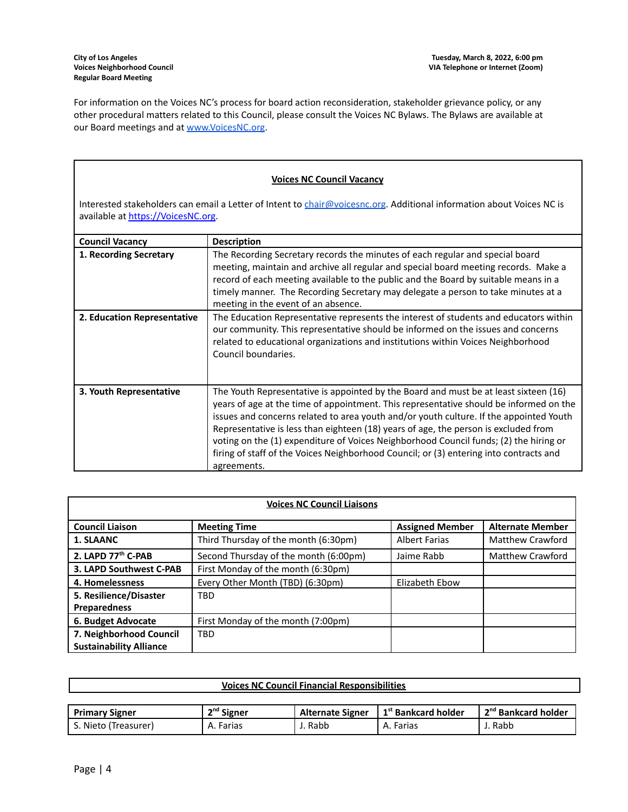For information on the Voices NC's process for board action reconsideration, stakeholder grievance policy, or any other procedural matters related to this Council, please consult the Voices NC Bylaws. The Bylaws are available at our Board meetings and at [www.VoicesNC.org](http://www.voicesnc.org).

# **Voices NC Council Vacancy**

Interested stakeholders can email a Letter of Intent to [chair@voicesnc.org](mailto:chair@voicesnc.org). Additional information about Voices NC is available at [https://VoicesNC.org](https://protect-us.mimecast.com/s/E5C9CqxMrGcYVDosZ0ERi).

| <b>Council Vacancy</b>      | <b>Description</b>                                                                                                                                                                                                                                                                                                                                                                                                                                                                                                                                                |
|-----------------------------|-------------------------------------------------------------------------------------------------------------------------------------------------------------------------------------------------------------------------------------------------------------------------------------------------------------------------------------------------------------------------------------------------------------------------------------------------------------------------------------------------------------------------------------------------------------------|
| 1. Recording Secretary      | The Recording Secretary records the minutes of each regular and special board<br>meeting, maintain and archive all regular and special board meeting records. Make a<br>record of each meeting available to the public and the Board by suitable means in a<br>timely manner. The Recording Secretary may delegate a person to take minutes at a<br>meeting in the event of an absence.                                                                                                                                                                           |
| 2. Education Representative | The Education Representative represents the interest of students and educators within<br>our community. This representative should be informed on the issues and concerns<br>related to educational organizations and institutions within Voices Neighborhood<br>Council boundaries.                                                                                                                                                                                                                                                                              |
| 3. Youth Representative     | The Youth Representative is appointed by the Board and must be at least sixteen (16)<br>years of age at the time of appointment. This representative should be informed on the<br>issues and concerns related to area youth and/or youth culture. If the appointed Youth<br>Representative is less than eighteen (18) years of age, the person is excluded from<br>voting on the (1) expenditure of Voices Neighborhood Council funds; (2) the hiring or<br>firing of staff of the Voices Neighborhood Council; or (3) entering into contracts and<br>agreements. |

| <b>Voices NC Council Liaisons</b> |                                       |                        |                         |
|-----------------------------------|---------------------------------------|------------------------|-------------------------|
| <b>Council Liaison</b>            | <b>Meeting Time</b>                   | <b>Assigned Member</b> | <b>Alternate Member</b> |
| 1. SLAANC                         | Third Thursday of the month (6:30pm)  | <b>Albert Farias</b>   | Matthew Crawford        |
| 2. LAPD 77th C-PAB                | Second Thursday of the month (6:00pm) | Jaime Rabb             | <b>Matthew Crawford</b> |
| 3. LAPD Southwest C-PAB           | First Monday of the month (6:30pm)    |                        |                         |
| 4. Homelessness                   | Every Other Month (TBD) (6:30pm)      | Elizabeth Ebow         |                         |
| 5. Resilience/Disaster            | <b>TBD</b>                            |                        |                         |
| <b>Preparedness</b>               |                                       |                        |                         |
| 6. Budget Advocate                | First Monday of the month (7:00pm)    |                        |                         |
| 7. Neighborhood Council           | <b>TBD</b>                            |                        |                         |
| <b>Sustainability Alliance</b>    |                                       |                        |                         |

## **Voices NC Council Financial Responsibilities**

| <b>Primary Signer</b> | n <sup>nd</sup> Signer | <b>Alternate Signer</b> | 1 <sup>st</sup> Bankcard holder | 1 2 <sup>nd</sup> Bankcard holder |
|-----------------------|------------------------|-------------------------|---------------------------------|-----------------------------------|
| د . Nieto (Treasurer) | Farias<br>Α.           | . Rabb                  | A. Farias                       | Rabb                              |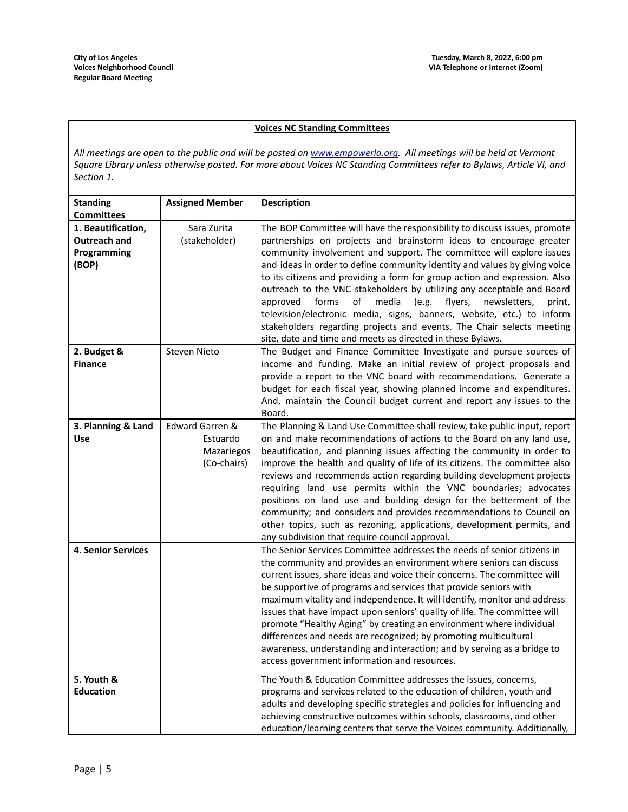## **Voices NC Standing Committees**

All meetings are open to the public and will be posted on [www.empowerla.org](http://www.empowerla.org). All meetings will be held at Vermont Square Library unless otherwise posted. For more about Voices NC Standing Committees refer to Bylaws, Article VI, and *Section 1.*

| <b>Standing</b><br><b>Committees</b>                       | <b>Assigned Member</b>                                   | <b>Description</b>                                                                                                                                                                                                                                                                                                                                                                                                                                                                                                                                                                                                                                                                                                                                              |
|------------------------------------------------------------|----------------------------------------------------------|-----------------------------------------------------------------------------------------------------------------------------------------------------------------------------------------------------------------------------------------------------------------------------------------------------------------------------------------------------------------------------------------------------------------------------------------------------------------------------------------------------------------------------------------------------------------------------------------------------------------------------------------------------------------------------------------------------------------------------------------------------------------|
| 1. Beautification,<br>Outreach and<br>Programming<br>(BOP) | Sara Zurita<br>(stakeholder)                             | The BOP Committee will have the responsibility to discuss issues, promote<br>partnerships on projects and brainstorm ideas to encourage greater<br>community involvement and support. The committee will explore issues<br>and ideas in order to define community identity and values by giving voice<br>to its citizens and providing a form for group action and expression. Also<br>outreach to the VNC stakeholders by utilizing any acceptable and Board<br>media<br>approved<br>forms<br>of<br>(e.g.<br>flyers,<br>newsletters,<br>print,<br>television/electronic media, signs, banners, website, etc.) to inform<br>stakeholders regarding projects and events. The Chair selects meeting<br>site, date and time and meets as directed in these Bylaws. |
| 2. Budget &<br><b>Finance</b>                              | <b>Steven Nieto</b>                                      | The Budget and Finance Committee Investigate and pursue sources of<br>income and funding. Make an initial review of project proposals and<br>provide a report to the VNC board with recommendations. Generate a<br>budget for each fiscal year, showing planned income and expenditures.<br>And, maintain the Council budget current and report any issues to the<br>Board.                                                                                                                                                                                                                                                                                                                                                                                     |
| 3. Planning & Land<br><b>Use</b>                           | Edward Garren &<br>Estuardo<br>Mazariegos<br>(Co-chairs) | The Planning & Land Use Committee shall review, take public input, report<br>on and make recommendations of actions to the Board on any land use,<br>beautification, and planning issues affecting the community in order to<br>improve the health and quality of life of its citizens. The committee also<br>reviews and recommends action regarding building development projects<br>requiring land use permits within the VNC boundaries; advocates<br>positions on land use and building design for the betterment of the<br>community; and considers and provides recommendations to Council on<br>other topics, such as rezoning, applications, development permits, and<br>any subdivision that require council approval.                                |
| <b>4. Senior Services</b>                                  |                                                          | The Senior Services Committee addresses the needs of senior citizens in<br>the community and provides an environment where seniors can discuss<br>current issues, share ideas and voice their concerns. The committee will<br>be supportive of programs and services that provide seniors with<br>maximum vitality and independence. It will identify, monitor and address<br>issues that have impact upon seniors' quality of life. The committee will<br>promote "Healthy Aging" by creating an environment where individual<br>differences and needs are recognized; by promoting multicultural<br>awareness, understanding and interaction; and by serving as a bridge to<br>access government information and resources.                                   |
| 5. Youth &<br><b>Education</b>                             |                                                          | The Youth & Education Committee addresses the issues, concerns,<br>programs and services related to the education of children, youth and<br>adults and developing specific strategies and policies for influencing and<br>achieving constructive outcomes within schools, classrooms, and other<br>education/learning centers that serve the Voices community. Additionally,                                                                                                                                                                                                                                                                                                                                                                                    |